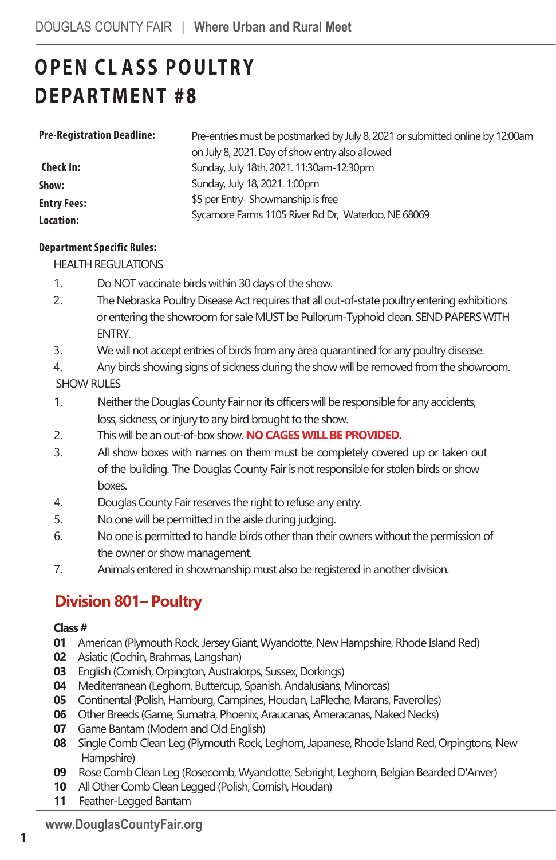# **OPEN CL ASS POULTRY D EPARTMENT #8**

| <b>Pre-Registration Deadline:</b> | Pre-entries must be postmarked by July 8, 2021 or submitted online by 12:00am |
|-----------------------------------|-------------------------------------------------------------------------------|
|                                   | on July 8, 2021. Day of show entry also allowed                               |
| Check In:                         | Sunday, July 18th, 2021. 11:30am-12:30pm                                      |
| Show:                             | Sunday, July 18, 2021. 1:00pm                                                 |
| <b>Entry Fees:</b>                | \$5 per Entry-Showmanship is free                                             |
| Location:                         | Sycamore Farms 1105 River Rd Dr, Waterloo, NE 68069                           |

#### **Department Specific Rules:**

HEALTH REGULATIONS

- 1. Do NOT vaccinate birds within 30 days of the show.
- 2. The Nebraska Poultry Disease Act requires that all out-of-state poultry entering exhibitions or entering the showroom for sale MUST be Pullorum-Typhoid clean. SEND PAPERS WITH ENTRY.
- 3. We will not accept entries of birds from any area quarantined for any poultry disease.
- 4. Any birds showing signs of sickness during the show will be removed from the showroom.

SHOW RULES

- 1. Neither the Douglas County Fair nor its officers will be responsible for any accidents, loss, sickness, or injury to any bird brought to the show.
- 2. This will be an out-of-box show. **NO CAGES WILL BE PROVIDED.**
- 3. All show boxes with names on them must be completely covered up or taken out of the building. The Douglas County Fair is not responsible for stolen birds or show boxes.
- 4. Douglas County Fair reserves the right to refuse any entry.
- 5. No one will be permitted in the aisle during judging.
- 6. No one is permitted to handle birds other than their owners without the permission of the owner or show management.
- 7. Animals entered in showmanship must also be registered in another division.

### **Division 801– Poultry**

#### **Class #**

- **01** American (Plymouth Rock, Jersey Giant, Wyandotte, New Hampshire, Rhode Island Red)
- **02** Asiatic (Cochin, Brahmas, Langshan)
- **03** English (Cornish, Orpington, Australorps, Sussex, Dorkings)
- **04** Mediterranean (Leghorn, Buttercup, Spanish, Andalusians, Minorcas)
- **05** Continental (Polish, Hamburg, Campines, Houdan, LaFleche, Marans, Faverolles)
- **06** Other Breeds (Game, Sumatra, Phoenix, Araucanas, Ameracanas, Naked Necks)
- **07** Game Bantam (Modern and Old English)
- **08** Single Comb Clean Leg (Plymouth Rock, Leghorn,Japanese, Rhode Island Red, Orpingtons, New Hampshire)
- **09** Rose Comb Clean Leg (Rosecomb, Wyandotte, Sebright, Leghorn, Belgian Bearded D'Anver)
- **10** All Other Comb Clean Legged (Polish, Cornish, Houdan)
- **11** Feather-Legged Bantam